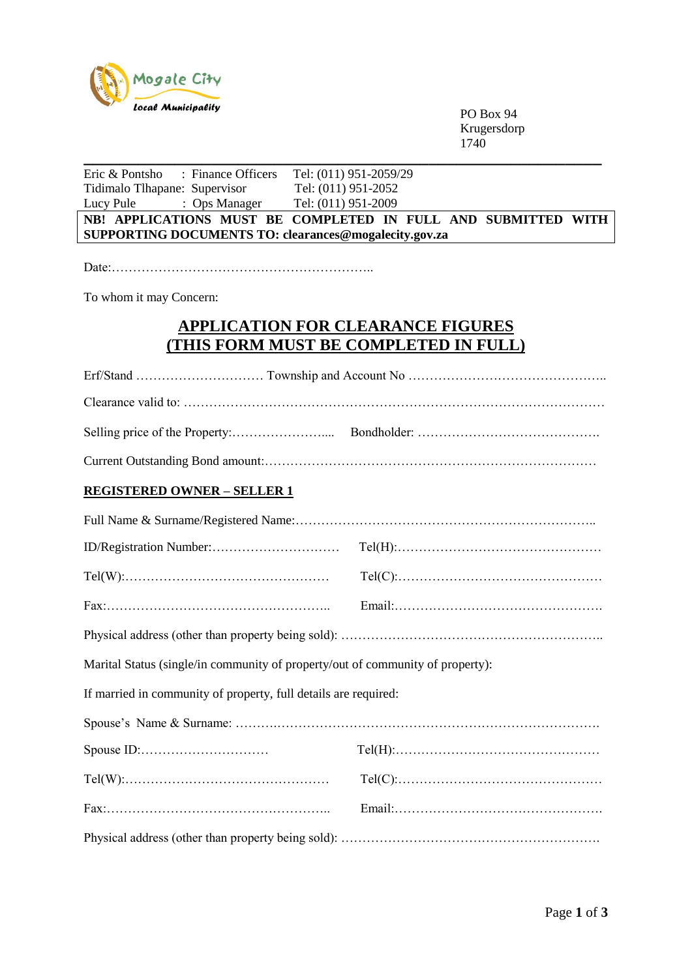

PO Box 94 Krugersdorp 1740

| Eric & Pontsho : Finance Officers                                              | Tel: (011) 951-2059/29                                        |  |
|--------------------------------------------------------------------------------|---------------------------------------------------------------|--|
| Tidimalo Tlhapane: Supervisor                                                  | Tel: (011) 951-2052                                           |  |
| : Ops Manager Tel: (011) 951-2009<br>Lucy Pule                                 |                                                               |  |
| SUPPORTING DOCUMENTS TO: clearances@mogalecity.gov.za                          | NB! APPLICATIONS MUST BE COMPLETED IN FULL AND SUBMITTED WITH |  |
|                                                                                |                                                               |  |
|                                                                                |                                                               |  |
| To whom it may Concern:                                                        |                                                               |  |
|                                                                                | <b>APPLICATION FOR CLEARANCE FIGURES</b>                      |  |
| <u>(THIS FORM MUST BE COMPLETED IN FULL)</u>                                   |                                                               |  |
|                                                                                |                                                               |  |
|                                                                                |                                                               |  |
|                                                                                |                                                               |  |
|                                                                                |                                                               |  |
| <b>REGISTERED OWNER - SELLER 1</b>                                             |                                                               |  |
|                                                                                |                                                               |  |
|                                                                                |                                                               |  |
|                                                                                |                                                               |  |
|                                                                                |                                                               |  |
|                                                                                |                                                               |  |
| Marital Status (single/in community of property/out of community of property): |                                                               |  |
| If married in community of property, full details are required:                |                                                               |  |
|                                                                                |                                                               |  |
| Spouse ID:                                                                     |                                                               |  |
|                                                                                |                                                               |  |
|                                                                                |                                                               |  |
|                                                                                |                                                               |  |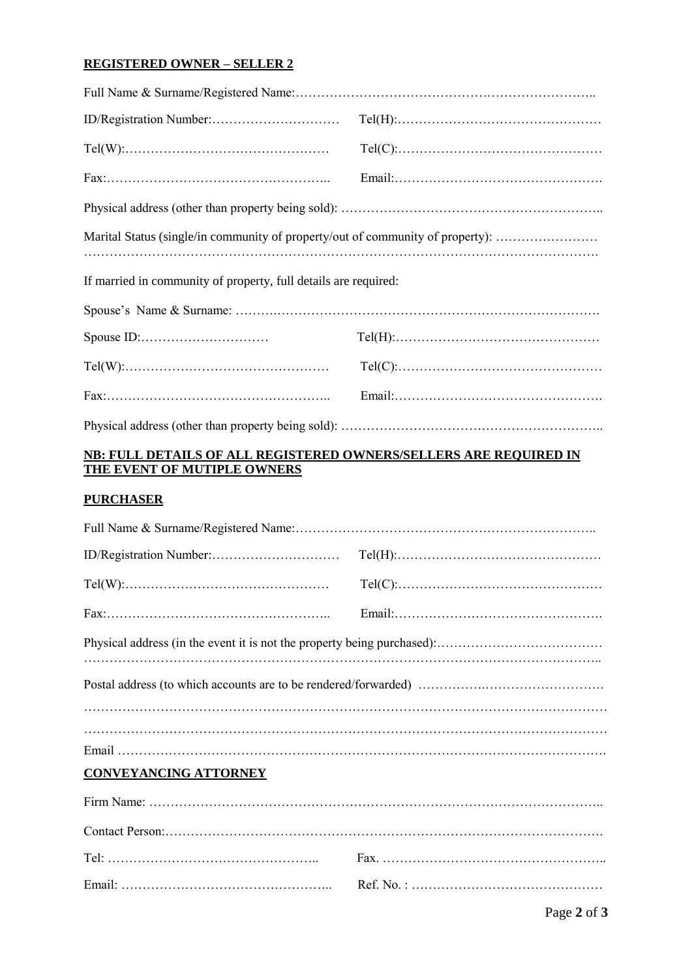## **REGISTERED OWNER – SELLER 2**

| $Tel(W): \ldots \ldots \ldots \ldots \ldots \ldots \ldots \ldots \ldots \ldots \ldots \ldots$        | $Tel(C): \ldots \ldots \ldots \ldots \ldots \ldots \ldots \ldots \ldots \ldots \ldots \ldots \ldots$ |  |
|------------------------------------------------------------------------------------------------------|------------------------------------------------------------------------------------------------------|--|
|                                                                                                      |                                                                                                      |  |
|                                                                                                      |                                                                                                      |  |
| Marital Status (single/in community of property/out of community of property):                       |                                                                                                      |  |
| If married in community of property, full details are required:                                      |                                                                                                      |  |
|                                                                                                      |                                                                                                      |  |
|                                                                                                      | $Tel(H): \ldots \ldots \ldots \ldots \ldots \ldots \ldots \ldots \ldots \ldots \ldots \ldots \ldots$ |  |
| $Tel(W): \ldots \ldots \ldots \ldots \ldots \ldots \ldots \ldots \ldots \ldots \ldots \ldots \ldots$ | $Tel(C): \ldots \ldots \ldots \ldots \ldots \ldots \ldots \ldots \ldots \ldots \ldots \ldots \ldots$ |  |
|                                                                                                      |                                                                                                      |  |
|                                                                                                      |                                                                                                      |  |

## **NB: FULL DETAILS OF ALL REGISTERED OWNERS/SELLERS ARE REQUIRED IN THE EVENT OF MUTIPLE OWNERS**

## **PURCHASER**

|                              | $Tel(H): \ldots \ldots \ldots \ldots \ldots \ldots \ldots \ldots \ldots \ldots \ldots \ldots$ |  |
|------------------------------|-----------------------------------------------------------------------------------------------|--|
|                              | $Tel(C): \ldots \ldots \ldots \ldots \ldots \ldots \ldots \ldots \ldots \ldots \ldots \ldots$ |  |
|                              |                                                                                               |  |
|                              |                                                                                               |  |
|                              |                                                                                               |  |
| <b>CONVEYANCING ATTORNEY</b> |                                                                                               |  |
|                              |                                                                                               |  |
|                              |                                                                                               |  |
|                              |                                                                                               |  |
|                              |                                                                                               |  |